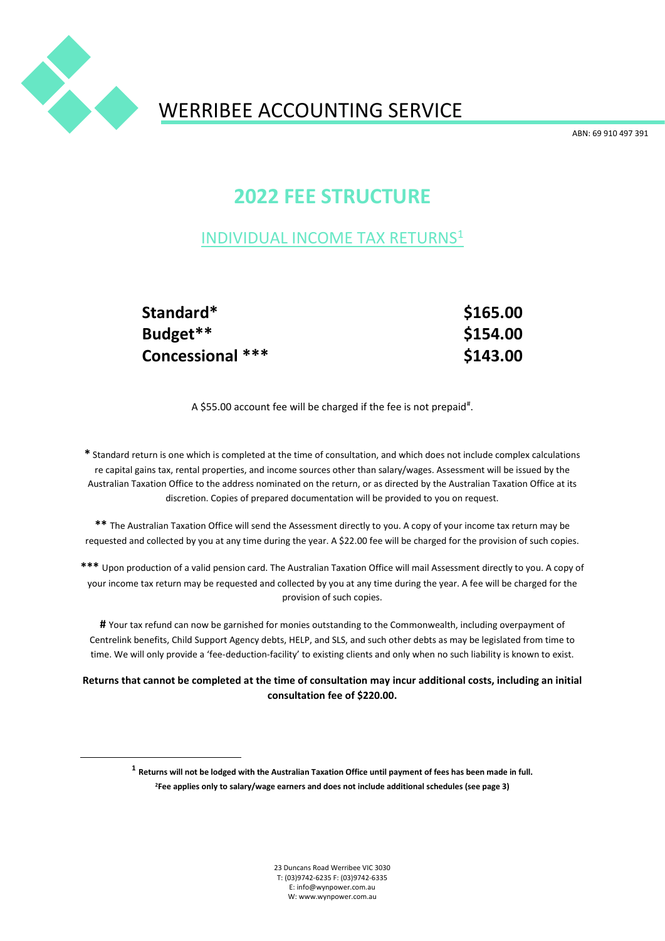

# WERRIBEE ACCOUNTING SERVICE

ABN: 69 910 497 391

## **2022 FEE STRUCTURE**

### INDIVIDUAL INCOME TAX RETURNS<sup>1</sup>

**Standard\* \$165.00 Budget\*\* \$154.00 Concessional \*\*\* \$143.00** 

A \$55.00 account fee will be charged if the fee is not prepaid#.

**\*** Standard return is one which is completed at the time of consultation, and which does not include complex calculations re capital gains tax, rental properties, and income sources other than salary/wages. Assessment will be issued by the Australian Taxation Office to the address nominated on the return, or as directed by the Australian Taxation Office at its discretion. Copies of prepared documentation will be provided to you on request.

**\*\*** The Australian Taxation Office will send the Assessment directly to you. A copy of your income tax return may be requested and collected by you at any time during the year. A \$22.00 fee will be charged for the provision of such copies.

**\*\*\*** Upon production of a valid pension card. The Australian Taxation Office will mail Assessment directly to you. A copy of your income tax return may be requested and collected by you at any time during the year. A fee will be charged for the provision of such copies.

**#** Your tax refund can now be garnished for monies outstanding to the Commonwealth, including overpayment of Centrelink benefits, Child Support Agency debts, HELP, and SLS, and such other debts as may be legislated from time to time. We will only provide a 'fee-deduction-facility' to existing clients and only when no such liability is known to exist.

**Returns that cannot be completed at the time of consultation may incur additional costs, including an initial consultation fee of \$220.00.**

**1 Returns will not be lodged with the Australian Taxation Office until payment of fees has been made in full. 2Fee applies only to salary/wage earners and does not include additional schedules (see page 3)**